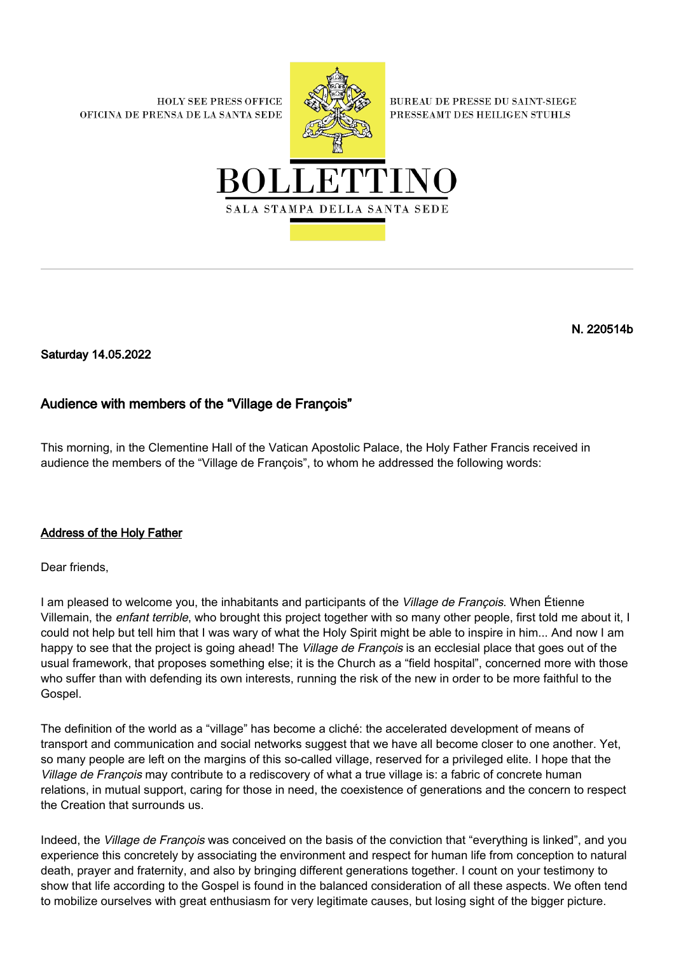**HOLY SEE PRESS OFFICE** OFICINA DE PRENSA DE LA SANTA SEDE



**BUREAU DE PRESSE DU SAINT-SIEGE** PRESSEAMT DES HEILIGEN STUHLS



N. 220514b

Saturday 14.05.2022

## Audience with members of the "Village de François"

This morning, in the Clementine Hall of the Vatican Apostolic Palace, the Holy Father Francis received in audience the members of the "Village de François", to whom he addressed the following words:

## Address of the Holy Father

Dear friends,

I am pleased to welcome you, the inhabitants and participants of the *Village de Francois*. When Étienne Villemain, the enfant terrible, who brought this project together with so many other people, first told me about it, I could not help but tell him that I was wary of what the Holy Spirit might be able to inspire in him... And now I am happy to see that the project is going ahead! The *Village de François* is an ecclesial place that goes out of the usual framework, that proposes something else; it is the Church as a "field hospital", concerned more with those who suffer than with defending its own interests, running the risk of the new in order to be more faithful to the Gospel.

The definition of the world as a "village" has become a cliché: the accelerated development of means of transport and communication and social networks suggest that we have all become closer to one another. Yet, so many people are left on the margins of this so-called village, reserved for a privileged elite. I hope that the Village de François may contribute to a rediscovery of what a true village is: a fabric of concrete human relations, in mutual support, caring for those in need, the coexistence of generations and the concern to respect the Creation that surrounds us.

Indeed, the Village de François was conceived on the basis of the conviction that "everything is linked", and you experience this concretely by associating the environment and respect for human life from conception to natural death, prayer and fraternity, and also by bringing different generations together. I count on your testimony to show that life according to the Gospel is found in the balanced consideration of all these aspects. We often tend to mobilize ourselves with great enthusiasm for very legitimate causes, but losing sight of the bigger picture.